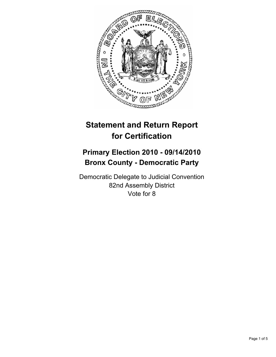

# **Statement and Return Report for Certification**

# **Primary Election 2010 - 09/14/2010 Bronx County - Democratic Party**

Democratic Delegate to Judicial Convention 82nd Assembly District Vote for 8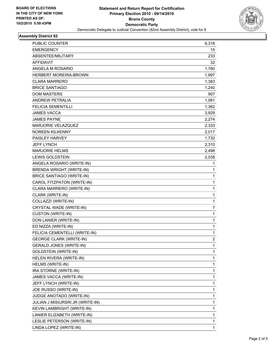

## **Assembly District 82**

| PUBLIC COUNTER                   | 6,318          |
|----------------------------------|----------------|
| <b>EMERGENCY</b>                 | 15             |
| ABSENTEE/MILITARY                | 233            |
| AFFIDAVIT                        | 32             |
| ANGELA M ROSARIO                 | 1,760          |
| <b>HERBERT MOREIRA-BROWN</b>     | 1,997          |
| CLARA MARRERO                    | 1,383          |
| <b>BRICE SANTIAGO</b>            | 1,240          |
| <b>DOM MASTERS</b>               | 907            |
| <b>ANDREW PETRALIA</b>           | 1,081          |
| <b>FELICIA SEMENTILLI</b>        | 1,382          |
| <b>JAMES VACCA</b>               | 3,929          |
| JAMES PAYNE                      | 2,274          |
| MARJORIE VELAZQUEZ               | 2,333          |
| <b>NOREEN KILKENNY</b>           | 2,017          |
| PAISLEY HARVEY                   | 1,732          |
| <b>JEFF LYNCH</b>                | 2,310          |
| <b>MARJORIE HELMS</b>            | 2,498          |
| <b>LEWIS GOLDSTEIN</b>           | 2,038          |
| ANGELA ROSARIO (WRITE-IN)        | 1              |
| <b>BRENDA WRIGHT (WRITE-IN)</b>  | 1              |
| <b>BRICE SANTIAGO (WRITE-IN)</b> | 1              |
| CAROL FITZPATON (WRITE-IN)       | 1              |
| CLARA MARRERO (WRITE-IN)         | 1              |
| CLARK (WRITE-IN)                 | 1              |
| COLLAZZI (WRITE-IN)              | 1              |
| CRYSTAL WADE (WRITE-IN)          | 7              |
| <b>CUSTON (WRITE-IN)</b>         | 1              |
| DON LANIER (WRITE-IN)            | 1              |
| ED NIZZA (WRITE-IN)              | 1              |
| FELICIA CEMENTELLI (WRITE-IN)    | 1              |
| <b>GEORGE CLARK (WRITE-IN)</b>   | $\overline{2}$ |
| <b>GERALD JONES (WRITE-IN)</b>   | 1              |
| <b>GOLDSTEIN (WRITE-IN)</b>      | 1              |
| HELEN RIVERA (WRITE-IN)          | 1              |
| HELMS (WRITE-IN)                 | 1              |
| IRA STORNE (WRITE-IN)            | 1              |
| JAMES VACCA (WRITE-IN)           | 1              |
| JEFF LYNCH (WRITE-IN)            | 1              |
| JOE RUSSO (WRITE-IN)             | 1              |
| JUDGE ANOTADO (WRITE-IN)         | 1              |
| JULIAN J MISIURSRI JR (WRITE-IN) | 1              |
| KEVIN LAMBRIGHT (WRITE-IN)       | 1              |
| LANIER ELIZABETH (WRITE-IN)      | 1              |
| LESLIE PETERSON (WRITE-IN)       | 1              |
| LINDA LOPEZ (WRITE-IN)           | 1              |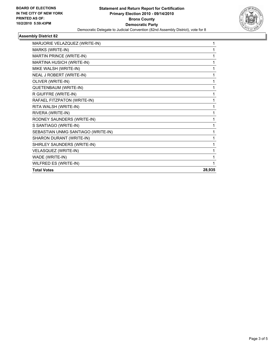

## **Assembly District 82**

| MARJORIE VELAZQUEZ (WRITE-IN)      | 1      |
|------------------------------------|--------|
| MARKS (WRITE-IN)                   | 1      |
| MARTIN PRINCE (WRITE-IN)           | 1      |
| MARTINA HUSICH (WRITE-IN)          | 1      |
| MIKE WALSH (WRITE-IN)              | 1      |
| NEAL J ROBERT (WRITE-IN)           | 1      |
| OLIVER (WRITE-IN)                  | 1      |
| QUETENBAUM (WRITE-IN)              | 1      |
| R GIUFFRE (WRITE-IN)               | 1      |
| RAFAEL FITZPATON (WRITE-IN)        | 1      |
| RITA WALSH (WRITE-IN)              | 1      |
| RIVERA (WRITE-IN)                  | 1      |
| RODNEY SAUNDERS (WRITE-IN)         | 1      |
| S SANTIAGO (WRITE-IN)              | 1      |
| SEBASTIAN UNMG SANTIAGO (WRITE-IN) | 1      |
| SHARON DURANT (WRITE-IN)           | 1      |
| SHIRLEY SAUNDERS (WRITE-IN)        | 1      |
| VELASQUEZ (WRITE-IN)               | 1      |
| WADE (WRITE-IN)                    | 1      |
| WILFRED ES (WRITE-IN)              | 1      |
| <b>Total Votes</b>                 | 28,935 |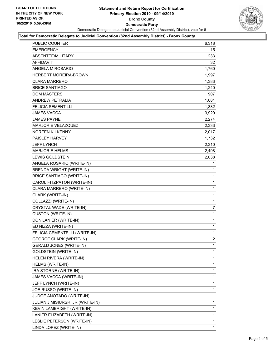

#### **Total for Democratic Delegate to Judicial Convention (82nd Assembly District) - Bronx County**

| PUBLIC COUNTER                   | 6,318          |
|----------------------------------|----------------|
| <b>EMERGENCY</b>                 | $15\,$         |
| ABSENTEE/MILITARY                | 233            |
| AFFIDAVIT                        | 32             |
| ANGELA M ROSARIO                 | 1,760          |
| <b>HERBERT MOREIRA-BROWN</b>     | 1,997          |
| <b>CLARA MARRERO</b>             | 1,383          |
| <b>BRICE SANTIAGO</b>            | 1,240          |
| <b>DOM MASTERS</b>               | 907            |
| ANDREW PETRALIA                  | 1,081          |
| FELICIA SEMENTILLI               | 1,382          |
| <b>JAMES VACCA</b>               | 3,929          |
| <b>JAMES PAYNE</b>               | 2,274          |
| MARJORIE VELAZQUEZ               | 2,333          |
| <b>NOREEN KILKENNY</b>           | 2,017          |
| PAISLEY HARVEY                   | 1,732          |
| <b>JEFF LYNCH</b>                | 2,310          |
| <b>MARJORIE HELMS</b>            | 2,498          |
| LEWIS GOLDSTEIN                  | 2,038          |
| ANGELA ROSARIO (WRITE-IN)        | 1              |
| <b>BRENDA WRIGHT (WRITE-IN)</b>  | 1              |
| <b>BRICE SANTIAGO (WRITE-IN)</b> | 1              |
| CAROL FITZPATON (WRITE-IN)       | 1              |
| CLARA MARRERO (WRITE-IN)         | 1              |
| CLARK (WRITE-IN)                 | 1              |
| COLLAZZI (WRITE-IN)              | 1              |
| CRYSTAL WADE (WRITE-IN)          | 7              |
| <b>CUSTON (WRITE-IN)</b>         | 1              |
| DON LANIER (WRITE-IN)            | 1              |
| ED NIZZA (WRITE-IN)              | 1              |
| FELICIA CEMENTELLI (WRITE-IN)    | 1              |
| <b>GEORGE CLARK (WRITE-IN)</b>   | $\overline{2}$ |
| <b>GERALD JONES (WRITE-IN)</b>   | 1              |
| <b>GOLDSTEIN (WRITE-IN)</b>      | 1              |
| HELEN RIVERA (WRITE-IN)          | 1              |
| HELMS (WRITE-IN)                 | 1              |
| IRA STORNE (WRITE-IN)            | 1              |
| JAMES VACCA (WRITE-IN)           | 1              |
| JEFF LYNCH (WRITE-IN)            | 1              |
| JOE RUSSO (WRITE-IN)             | 1              |
| JUDGE ANOTADO (WRITE-IN)         | 1              |
| JULIAN J MISIURSRI JR (WRITE-IN) | 1              |
| KEVIN LAMBRIGHT (WRITE-IN)       | 1              |
| LANIER ELIZABETH (WRITE-IN)      | 1              |
| LESLIE PETERSON (WRITE-IN)       | 1              |
| LINDA LOPEZ (WRITE-IN)           | $\mathbf{1}$   |